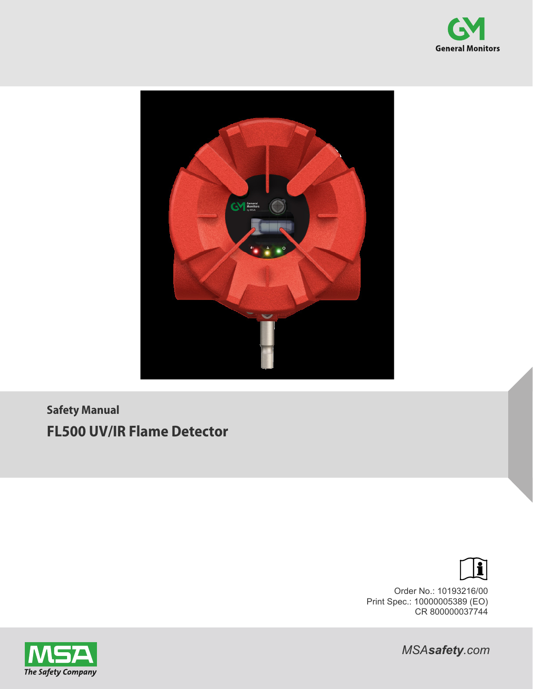



**Safety Manual FL500 UV/IR Flame Detector**



Order No.: 10193216/00 Print Spec.: 10000005389 (EO) CR 800000037744



*MSAsafety.com*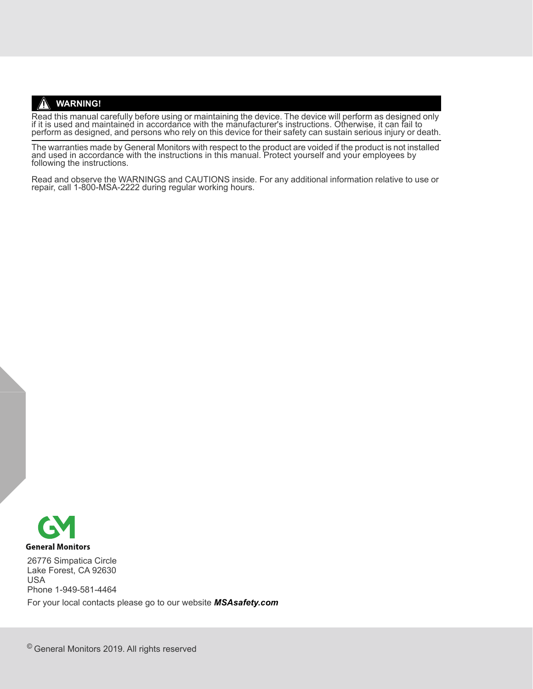#### **WARNING!**

Read this manual carefully before using or maintaining the device. The device will perform as designed only<br>if it is used and maintained in accordance with the manufacturer's instructions. Otherwise, it can fail to perform as designed, and persons who rely on this device for their safety can sustain serious injury or death.

The warranties made by General Monitors with respect to the product are voided if the product is not installed<br>and used in accordance with the instructions in this manual. Protect yourself and your employees by<br>following t

Read and observe the WARNINGS and CAUTIONS inside. For any additional information relative to use or repair, call 1-800-MSA-2222 during regular working hours.



26776 Simpatica Circle Lake Forest, CA 92630 USA Phone 1-949-581-4464 For your local contacts please go to our website *MSAsafety.com*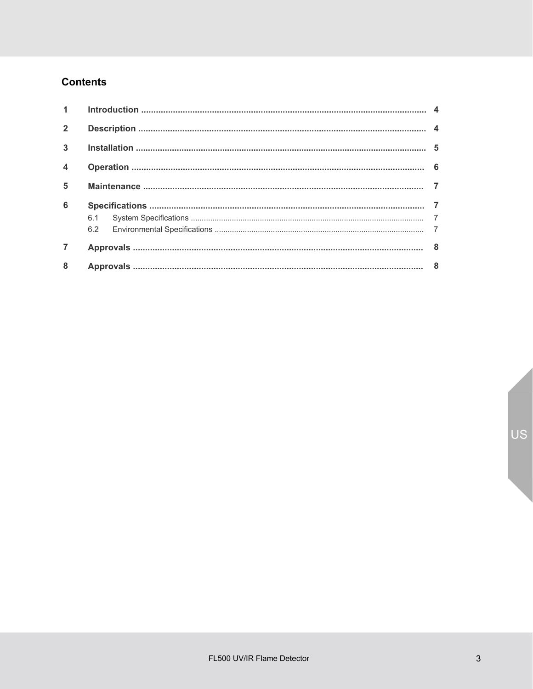# **Contents**

| $\overline{2}$          |  |  |  |
|-------------------------|--|--|--|
| 3 <sup>1</sup>          |  |  |  |
| $\overline{\mathbf{4}}$ |  |  |  |
| 5                       |  |  |  |
| 6                       |  |  |  |
|                         |  |  |  |
|                         |  |  |  |
|                         |  |  |  |
| 8                       |  |  |  |

US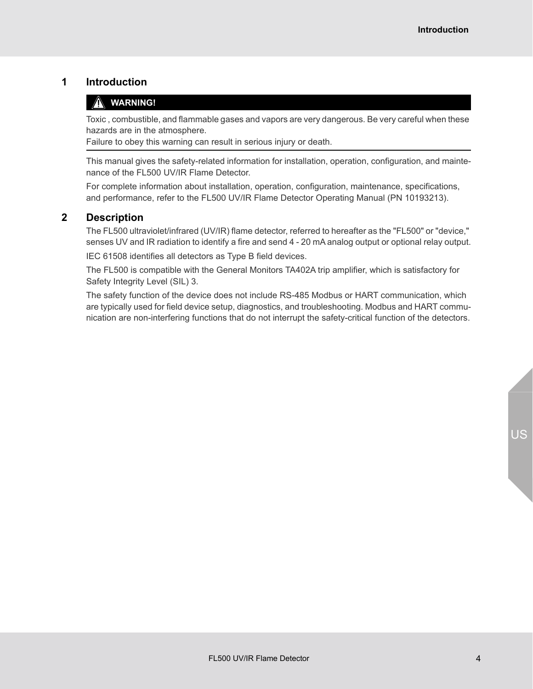## <span id="page-3-0"></span>**1 Introduction**

#### **WARNING!**

Toxic , combustible, and flammable gases and vapors are very dangerous. Be very careful when these hazards are in the atmosphere.

Failure to obey this warning can result in serious injury or death.

This manual gives the safety-related information for installation, operation, configuration, and maintenance of the FL500 UV/IR Flame Detector.

For complete information about installation, operation, configuration, maintenance, specifications, and performance, refer to the FL500 UV/IR Flame Detector Operating Manual (PN 10193213).

### <span id="page-3-1"></span>**2 Description**

The FL500 ultraviolet/infrared (UV/IR) flame detector, referred to hereafter as the "FL500" or "device," senses UV and IR radiation to identify a fire and send 4 - 20 mA analog output or optional relay output.

IEC 61508 identifies all detectors as Type B field devices.

The FL500 is compatible with the General Monitors TA402A trip amplifier, which is satisfactory for Safety Integrity Level (SIL) 3.

The safety function of the device does not include RS-485 Modbus or HART communication, which are typically used for field device setup, diagnostics, and troubleshooting. Modbus and HART communication are non-interfering functions that do not interrupt the safety-critical function of the detectors.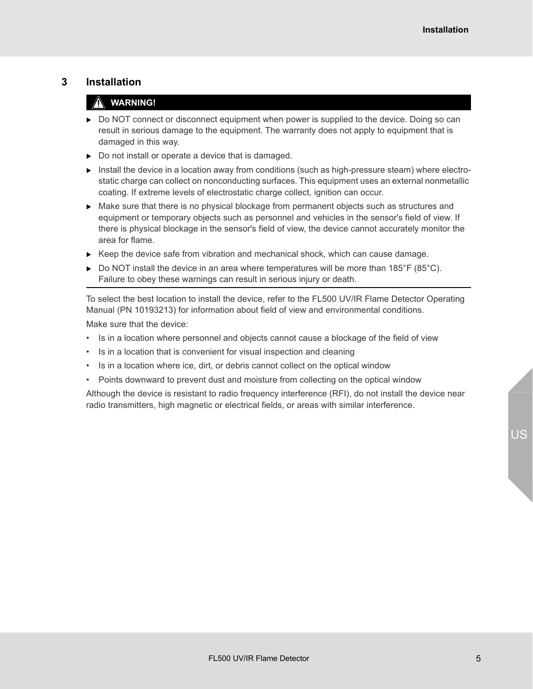#### <span id="page-4-0"></span>**3 Installation**

### **WARNING!**

- $\triangleright$  Do NOT connect or disconnect equipment when power is supplied to the device. Doing so can result in serious damage to the equipment. The warranty does not apply to equipment that is damaged in this way.
- Do not install or operate a device that is damaged.
- $\triangleright$  Install the device in a location away from conditions (such as high-pressure steam) where electrostatic charge can collect on nonconducting surfaces. This equipment uses an external nonmetallic coating. If extreme levels of electrostatic charge collect, ignition can occur.
- $\triangleright$  Make sure that there is no physical blockage from permanent objects such as structures and equipment or temporary objects such as personnel and vehicles in the sensor's field of view. If there is physical blockage in the sensor's field of view, the device cannot accurately monitor the area for flame.
- $\triangleright$  Keep the device safe from vibration and mechanical shock, which can cause damage.
- $\triangleright$  Do NOT install the device in an area where temperatures will be more than 185°F (85°C). Failure to obey these warnings can result in serious injury or death.

To select the best location to install the device, refer to the FL500 UV/IR Flame Detector Operating Manual (PN 10193213) for information about field of view and environmental conditions.

Make sure that the device:

- Is in a location where personnel and objects cannot cause a blockage of the field of view
- Is in a location that is convenient for visual inspection and cleaning
- Is in a location where ice, dirt, or debris cannot collect on the optical window
- Points downward to prevent dust and moisture from collecting on the optical window

Although the device is resistant to radio frequency interference (RFI), do not install the device near radio transmitters, high magnetic or electrical fields, or areas with similar interference.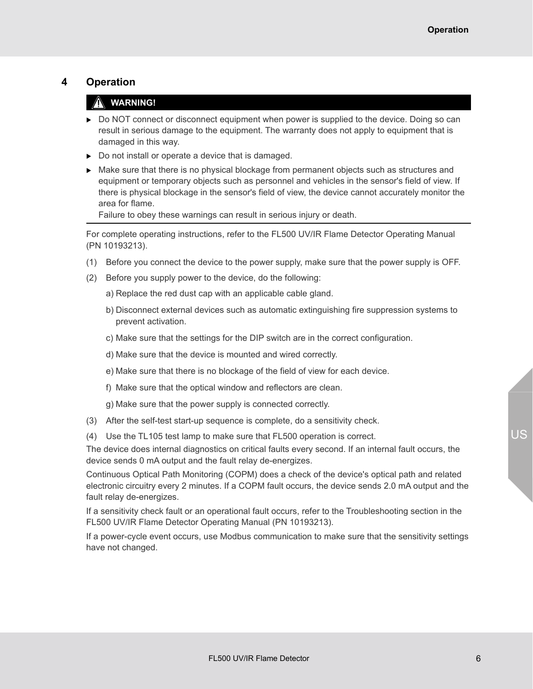### <span id="page-5-0"></span>**4 Operation**

### **WARNING!**

- $\triangleright$  Do NOT connect or disconnect equipment when power is supplied to the device. Doing so can result in serious damage to the equipment. The warranty does not apply to equipment that is damaged in this way.
- Do not install or operate a device that is damaged.
- $\triangleright$  Make sure that there is no physical blockage from permanent objects such as structures and equipment or temporary objects such as personnel and vehicles in the sensor's field of view. If there is physical blockage in the sensor's field of view, the device cannot accurately monitor the area for flame.

Failure to obey these warnings can result in serious injury or death.

For complete operating instructions, refer to the FL500 UV/IR Flame Detector Operating Manual (PN 10193213).

- (1) Before you connect the device to the power supply, make sure that the power supply is OFF.
- (2) Before you supply power to the device, do the following:
	- a) Replace the red dust cap with an applicable cable gland.
	- b) Disconnect external devices such as automatic extinguishing fire suppression systems to prevent activation.
	- c) Make sure that the settings for the DIP switch are in the correct configuration.
	- d) Make sure that the device is mounted and wired correctly.
	- e) Make sure that there is no blockage of the field of view for each device.
	- f) Make sure that the optical window and reflectors are clean.
	- g) Make sure that the power supply is connected correctly.
- (3) After the self-test start-up sequence is complete, do a sensitivity check.
- (4) Use the TL105 test lamp to make sure that FL500 operation is correct.

The device does internal diagnostics on critical faults every second. If an internal fault occurs, the device sends 0 mA output and the fault relay de-energizes.

Continuous Optical Path Monitoring (COPM) does a check of the device's optical path and related electronic circuitry every 2 minutes. If a COPM fault occurs, the device sends 2.0 mA output and the fault relay de-energizes.

If a sensitivity check fault or an operational fault occurs, refer to the Troubleshooting section in the FL500 UV/IR Flame Detector Operating Manual (PN 10193213).

If a power-cycle event occurs, use Modbus communication to make sure that the sensitivity settings have not changed.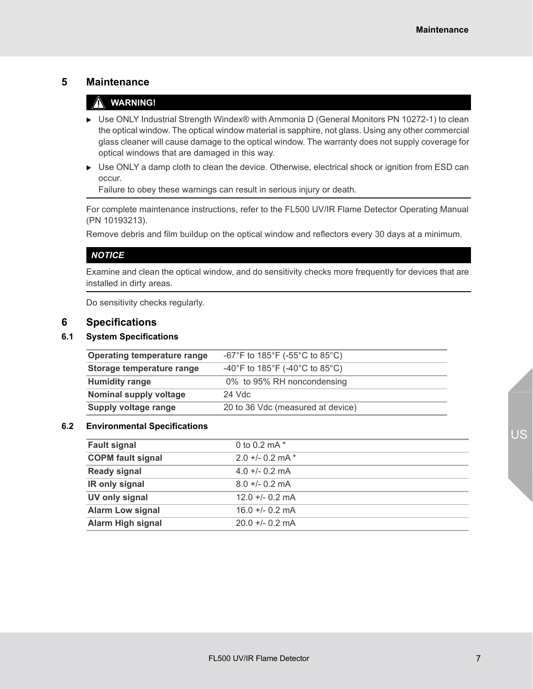### <span id="page-6-0"></span>**5 Maintenance**

### **WARNING!**

- Use ONLY Industrial Strength Windex® with Ammonia D (General Monitors PN 10272-1) to clean the optical window. The optical window material is sapphire, not glass. Using any other commercial glass cleaner will cause damage to the optical window. The warranty does not supply coverage for optical windows that are damaged in this way.
- ▶ Use ONLY a damp cloth to clean the device. Otherwise, electrical shock or ignition from ESD can occur.

Failure to obey these warnings can result in serious injury or death.

For complete maintenance instructions, refer to the FL500 UV/IR Flame Detector Operating Manual (PN 10193213).

Remove debris and film buildup on the optical window and reflectors every 30 days at a minimum.

#### *NOTICE*

Examine and clean the optical window, and do sensitivity checks more frequently for devices that are installed in dirty areas.

Do sensitivity checks regularly.

#### <span id="page-6-1"></span>**6 Specifications**

#### <span id="page-6-2"></span>**6.1 System Specifications**

| <b>Operating temperature range</b> | -67°F to 185°F (-55°C to 85°C)    |  |
|------------------------------------|-----------------------------------|--|
| Storage temperature range          | -40°F to 185°F (-40°C to 85°C)    |  |
| <b>Humidity range</b>              | 0% to 95% RH noncondensing        |  |
| Nominal supply voltage             | $24$ Vdc                          |  |
| Supply voltage range               | 20 to 36 Vdc (measured at device) |  |

#### <span id="page-6-3"></span>**6.2 Environmental Specifications**

| <b>Fault signal</b>      | 0 to 0.2 mA $*$    |
|--------------------------|--------------------|
| <b>COPM fault signal</b> | $2.0 + 0.2$ mA $*$ |
| <b>Ready signal</b>      | $4.0 + (-0.2$ mA   |
| IR only signal           | $8.0 + 0.2$ mA     |
| UV only signal           | $12.0 + 0.2$ mA    |
| <b>Alarm Low signal</b>  | $16.0 + 0.2$ mA    |
| <b>Alarm High signal</b> | $20.0 + 0.2$ mA    |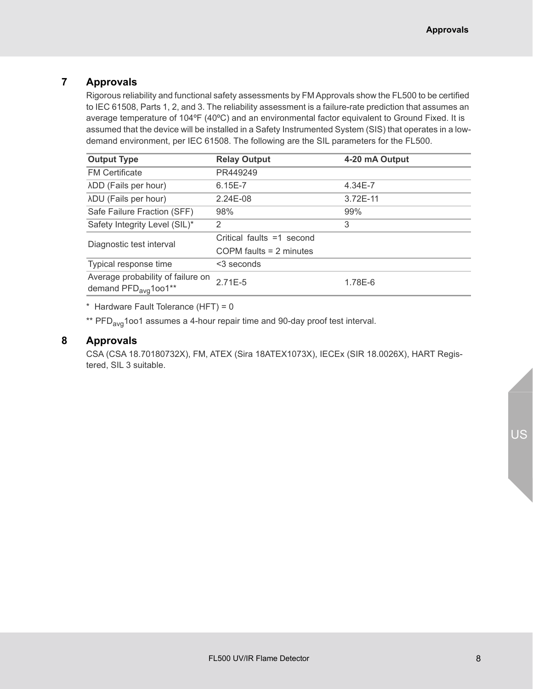# <span id="page-7-0"></span>**7 Approvals**

Rigorous reliability and functional safety assessments by FM Approvals show the FL500 to be certified to IEC 61508, Parts 1, 2, and 3. The reliability assessment is a failure-rate prediction that assumes an average temperature of 104ºF (40ºC) and an environmental factor equivalent to Ground Fixed. It is assumed that the device will be installed in a Safety Instrumented System (SIS) that operates in a lowdemand environment, per IEC 61508. The following are the SIL parameters for the FL500.

| <b>Output Type</b>                                                    | <b>Relay Output</b>       | 4-20 mA Output |
|-----------------------------------------------------------------------|---------------------------|----------------|
| <b>FM Certificate</b>                                                 | PR449249                  |                |
| λDD (Fails per hour)                                                  | 6.15E-7                   | 4.34E-7        |
| λDU (Fails per hour)                                                  | $2.24E-08$                | 3.72E-11       |
| Safe Failure Fraction (SFF)                                           | 98%                       | 99%            |
| Safety Integrity Level (SIL)*                                         | 2                         | 3              |
| Diagnostic test interval                                              | Critical faults =1 second |                |
|                                                                       | COPM faults $= 2$ minutes |                |
| Typical response time                                                 | $3$ seconds               |                |
| Average probability of failure on<br>demand PFD <sub>avg</sub> 1oo1** | $2.71E-5$                 | 1.78E-6        |

\* Hardware Fault Tolerance (HFT) = 0

\*\* PFD<sub>avg</sub>1oo1 assumes a 4-hour repair time and 90-day proof test interval.

#### <span id="page-7-1"></span>**8 Approvals**

CSA (CSA 18.70180732X), FM, ATEX (Sira 18ATEX1073X), IECEx (SIR 18.0026X), HART Registered, SIL 3 suitable.